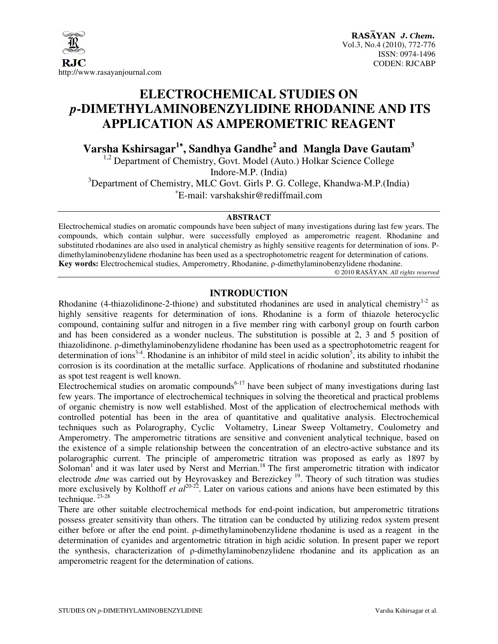

### **ELECTROCHEMICAL STUDIES ON**  *p***-DIMETHYLAMINOBENZYLIDINE RHODANINE AND ITS APPLICATION AS AMPEROMETRIC REAGENT**

**Varsha Kshirsagar<sup>1</sup>**<sup>∗</sup>**, Sandhya Gandhe<sup>2</sup> and Mangla Dave Gautam<sup>3</sup>**

<sup>1,2</sup> Department of Chemistry, Govt. Model (Auto.) Holkar Science College Indore-M.P. (India)  $3$ Department of Chemistry, MLC Govt. Girls P. G. College, Khandwa-M.P. (India)

∗ E-mail: varshakshir@rediffmail.com

#### **ABSTRACT**

Electrochemical studies on aromatic compounds have been subject of many investigations during last few years. The compounds, which contain sulphur, were successfully employed as amperometric reagent. Rhodanine and substituted rhodanines are also used in analytical chemistry as highly sensitive reagents for determination of ions. Ρdimethylaminobenzylidene rhodanine has been used as a spectrophotometric reagent for determination of cations. **Key words:** Electrochemical studies, Amperometry, Rhodanine, ρ-dimethylaminobenzylidene rhodanine.

© 2010 RASĀYAN. *All rights reserved*

#### **INTRODUCTION**

Rhodanine (4-thiazolidinone-2-thione) and substituted rhodanines are used in analytical chemistry<sup>1-2</sup> as highly sensitive reagents for determination of ions. Rhodanine is a form of thiazole heterocyclic compound, containing sulfur and nitrogen in a five member ring with carbonyl group on fourth carbon and has been considered as a wonder nucleus. The substitution is possible at 2, 3 and 5 position of thiazolidinone. ρ-dimethylaminobenzylidene rhodanine has been used as a spectrophotometric reagent for determination of ions<sup>3-4</sup>. Rhodanine is an inhibitor of mild steel in acidic solution<sup>5</sup>, its ability to inhibit the corrosion is its coordination at the metallic surface. Applications of rhodanine and substituted rhodanine as spot test reagent is well known.

Electrochemical studies on aromatic compounds<sup>6-17</sup> have been subject of many investigations during last few years. The importance of electrochemical techniques in solving the theoretical and practical problems of organic chemistry is now well established. Most of the application of electrochemical methods with controlled potential has been in the area of quantitative and qualitative analysis. Electrochemical techniques such as Polarography, Cyclic Voltametry, Linear Sweep Voltametry, Coulometry and Amperometry. The amperometric titrations are sensitive and convenient analytical technique, based on the existence of a simple relationship between the concentration of an electro-active substance and its polarographic current. The principle of amperometric titration was proposed as early as 1897 by Soloman<sup>1</sup> and it was later used by Nerst and Merrian.<sup>18</sup> The first amperometric titration with indicator electrode *dme* was carried out by Heyrovaskey and Berezickey<sup>19</sup>. Theory of such titration was studies more exclusively by Kolthoff *et al*<sup>20-22</sup>. Later on various cations and anions have been estimated by this technique. 23-28

There are other suitable electrochemical methods for end-point indication, but amperometric titrations possess greater sensitivity than others. The titration can be conducted by utilizing redox system present either before or after the end point. ρ-dimethylaminobenzylidene rhodanine is used as a reagent in the determination of cyanides and argentometric titration in high acidic solution. In present paper we report the synthesis, characterization of ρ-dimethylaminobenzylidene rhodanine and its application as an amperometric reagent for the determination of cations.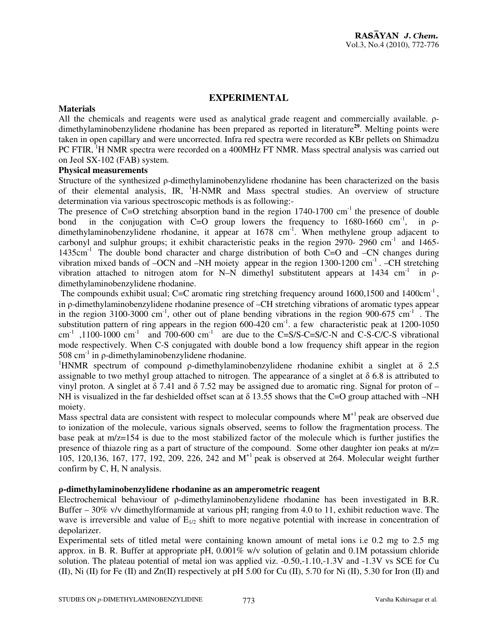#### **EXPERIMENTAL**

#### **Materials**

All the chemicals and reagents were used as analytical grade reagent and commercially available. ρdimethylaminobenzylidene rhodanine has been prepared as reported in literature**<sup>29</sup>**. Melting points were taken in open capillary and were uncorrected. Infra red spectra were recorded as KBr pellets on Shimadzu PC FTIR, <sup>1</sup>H NMR spectra were recorded on a 400MHz FT NMR. Mass spectral analysis was carried out on Jeol SX-102 (FAB) system.

#### **Physical measurements**

Structure of the synthesized ρ-dimethylaminobenzylidene rhodanine has been characterized on the basis of their elemental analysis, IR,  $^1$ H-NMR and Mass spectral studies. An overview of structure determination via various spectroscopic methods is as following:-

The presence of C=O stretching absorption band in the region  $1740-1700$  cm<sup>-1</sup> the presence of double bond in the conjugation with C=O group lowers the frequency to  $1680-1660$  cm<sup>-1</sup>, in  $\rho$ dimethylaminobenzylidene rhodanine, it appear at 1678 cm<sup>-1</sup>. When methylene group adjacent to carbonyl and sulphur groups; it exhibit characteristic peaks in the region  $2970-2960$  cm<sup>-1</sup> and  $1465-$ 1435cm-1 The double bond character and charge distribution of both C=O and –CN changes during vibration mixed bands of  $-OCN$  and  $-NH$  moiety appear in the region 1300-1200 cm<sup>-1</sup>.  $-CH$  stretching vibration attached to nitrogen atom for N–N dimethyl substitutent appears at  $1434 \text{ cm}^{-1}$  in  $\rho$ dimethylaminobenzylidene rhodanine.

The compounds exhibit usual; C=C aromatic ring stretching frequency around 1600,1500 and 1400cm<sup>-1</sup>, in ρ-dimethylaminobenzylidene rhodanine presence of –CH stretching vibrations of aromatic types appear in the region 3100-3000 cm<sup>-1</sup>, other out of plane bending vibrations in the region 900-675 cm<sup>-1</sup>. The substitution pattern of ring appears in the region  $600-420$  cm<sup>-1</sup>. a few characteristic peak at 1200-1050 cm<sup>-1</sup>,1100-1000 cm<sup>-1</sup> and 700-600 cm<sup>-1</sup> are due to the C=S/S-C=S/C-N and C-S-C/C-S vibrational mode respectively. When C-S conjugated with double bond a low frequency shift appear in the region  $508 \text{ cm}^{-1}$  in ρ-dimethylaminobenzylidene rhodanine.

<sup>1</sup>HNMR spectrum of compound  $\rho$ -dimethylaminobenzylidene rhodanine exhibit a singlet at  $\delta$  2.5 assignable to two methyl group attached to nitrogen. The appearance of a singlet at  $\delta$  6.8 is attributed to vinyl proton. A singlet at  $\delta$  7.41 and  $\delta$  7.52 may be assigned due to aromatic ring. Signal for proton of – NH is visualized in the far deshielded offset scan at  $\delta$  13.55 shows that the C=O group attached with –NH moiety.

Mass spectral data are consistent with respect to molecular compounds where  $M<sup>+</sup>$  peak are observed due to ionization of the molecule, various signals observed, seems to follow the fragmentation process. The base peak at m/z=154 is due to the most stabilized factor of the molecule which is further justifies the presence of thiazole ring as a part of structure of the compound. Some other daughter ion peaks at  $m/z=$ 105, 120,136, 167, 177, 192, 209, 226, 242 and M+1 peak is observed at 264. Molecular weight further confirm by C, H, N analysis.

#### ρ**-dimethylaminobenzylidene rhodanine as an amperometric reagent**

Electrochemical behaviour of ρ-dimethylaminobenzylidene rhodanine has been investigated in B.R. Buffer – 30% v/v dimethylformamide at various pH; ranging from 4.0 to 11, exhibit reduction wave. The wave is irreversible and value of  $E_{1/2}$  shift to more negative potential with increase in concentration of depolarizer.

Experimental sets of titled metal were containing known amount of metal ions i.e 0.2 mg to 2.5 mg approx. in B. R. Buffer at appropriate pH,  $0.001\%$  w/v solution of gelatin and 0.1M potassium chloride solution. The plateau potential of metal ion was applied viz. -0.50,-1.10,-1.3V and -1.3V vs SCE for Cu (II), Ni (II) for Fe (II) and  $Zn(II)$  respectively at pH 5.00 for Cu (II), 5.70 for Ni (II), 5.30 for Iron (II) and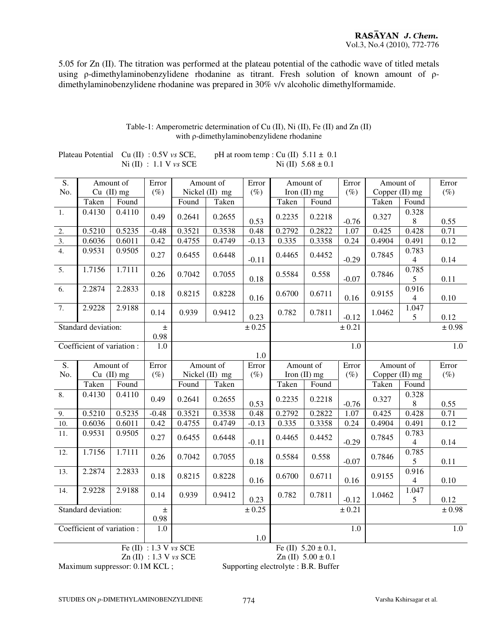5.05 for Zn (II). The titration was performed at the plateau potential of the cathodic wave of titled metals using ρ-dimethylaminobenzylidene rhodanine as titrant. Fresh solution of known amount of ρdimethylaminobenzylidene rhodanine was prepared in 30% v/v alcoholic dimethylformamide.

|                            |                            |              |                          | $1$ NI $(II)$ . 1.1 Y V3 JULI |                |         | $131 \text{ (H)}$ $3.00 \pm 0.1$ |                          |                  |                  |                 |        |
|----------------------------|----------------------------|--------------|--------------------------|-------------------------------|----------------|---------|----------------------------------|--------------------------|------------------|------------------|-----------------|--------|
| S.                         | Amount of                  |              | Error                    | Amount of                     |                | Error   | Amount of                        |                          | Error            | Amount of        |                 | Error  |
| No.                        |                            | $Cu$ (II) mg | $(\%)$                   |                               | Nickel (II) mg | $(\%)$  |                                  | Iron $(II)$ mg           | $(\%)$           | Copper (II) mg   |                 | $(\%)$ |
|                            | Taken                      | Found        |                          | Found                         | Taken          |         | Taken                            | Found                    |                  | Taken            | Found           |        |
| 1.                         | 0.4130                     | 0.4110       |                          |                               |                |         |                                  |                          |                  |                  | 0.328           |        |
|                            |                            |              | 0.49                     | 0.2641                        | 0.2655         | 0.53    | 0.2235                           | 0.2218                   | $-0.76$          | 0.327            | $8\,$           | 0.55   |
| 2.                         | 0.5210                     | 0.5235       | $-0.48$                  | 0.3521                        | 0.3538         | 0.48    | 0.2792                           | 0.2822                   | 1.07             | 0.425            | 0.428           | 0.71   |
| 3.                         | 0.6036                     | 0.6011       | 0.42                     | 0.4755                        | 0.4749         | $-0.13$ | 0.335                            | 0.3358                   | 0.24             | 0.4904           | 0.491           | 0.12   |
| $\overline{4}$ .           | 0.9531                     | 0.9505       |                          |                               |                |         |                                  |                          |                  |                  | 0.783           |        |
|                            |                            |              | 0.27                     | 0.6455                        | 0.6448         | $-0.11$ | 0.4465                           | 0.4452                   | $-0.29$          | 0.7845           | $\overline{4}$  | 0.14   |
| $\overline{5}$ .           | 1.7156                     | 1.7111       |                          |                               |                |         |                                  |                          |                  |                  | 0.785           |        |
|                            |                            |              | 0.26                     | 0.7042                        | 0.7055         | 0.18    | 0.5584                           | 0.558                    | $-0.07$          | 0.7846           | $5\overline{)}$ | 0.11   |
| 6.                         | 2.2874                     | 2.2833       |                          |                               |                |         |                                  |                          |                  |                  | 0.916           |        |
|                            |                            |              | 0.18                     | 0.8215                        | 0.8228         | 0.16    | 0.6700                           | 0.6711                   | $0.16\,$         | 0.9155           | $\overline{4}$  | 0.10   |
| 7.                         | 2.9228                     | 2.9188       |                          |                               |                |         |                                  |                          |                  |                  | 1.047           |        |
|                            |                            |              | 0.14                     | 0.939                         | 0.9412         | 0.23    | 0.782                            | 0.7811                   | $-0.12$          | 1.0462           | 5               | 0.12   |
| Standard deviation:        |                            | $\pm$        |                          |                               | ± 0.25         |         |                                  | ± 0.21                   |                  |                  | ± 0.98          |        |
|                            |                            | 0.98         |                          |                               |                |         |                                  |                          |                  |                  |                 |        |
| Coefficient of variation : |                            |              | 1.0                      |                               |                |         |                                  |                          | 1.0              |                  |                 | 1.0    |
|                            |                            |              |                          |                               |                | 1.0     |                                  |                          |                  |                  |                 |        |
| S.                         |                            | Amount of    | Error                    |                               | Amount of      | Error   |                                  | Amount of                | Error            | Amount of        |                 | Error  |
| No.                        | $Cu$ (II) mg               |              | $(\%)$                   | Nickel (II) mg                |                | $(\%)$  | Iron (II) mg                     |                          | $(\%)$           | Copper $(II)$ mg |                 | $(\%)$ |
|                            |                            |              |                          |                               |                |         |                                  |                          |                  |                  |                 |        |
|                            |                            | Found        |                          | Found                         | Taken          |         |                                  |                          |                  | Taken            | Found           |        |
|                            | Taken                      |              |                          |                               |                |         | Taken                            | Found                    |                  |                  |                 |        |
| 8.                         | 0.4130                     | 0.4110       | 0.49                     | 0.2641                        | 0.2655         |         | 0.2235                           | 0.2218                   |                  | 0.327            | 0.328           |        |
|                            |                            |              |                          |                               |                | 0.53    |                                  |                          | $-0.76$          | 0.425            | $8\,$           | 0.55   |
| 9.                         | 0.5210                     | 0.5235       | $-0.48$                  | 0.3521                        | 0.3538         | 0.48    | 0.2792                           | 0.2822                   | 1.07             |                  | 0.428           | 0.71   |
| 10.                        | 0.6036                     | 0.6011       | 0.42                     | 0.4755                        | 0.4749         | $-0.13$ | 0.335                            | 0.3358                   | 0.24             | 0.4904           | 0.491           | 0.12   |
| 11.                        | 0.9531                     | 0.9505       | 0.27                     | 0.6455                        | 0.6448         |         | 0.4465                           | 0.4452                   | $-0.29$          | 0.7845           | 0.783           |        |
|                            |                            |              |                          |                               |                | $-0.11$ |                                  |                          |                  |                  | $\overline{4}$  | 0.14   |
| 12.                        | 1.7156                     | 1.7111       | 0.26                     | 0.7042                        | 0.7055         |         | 0.5584                           | 0.558                    |                  | 0.7846           | 0.785           |        |
|                            |                            |              |                          |                               |                | 0.18    |                                  |                          | $-0.07$          |                  | 5               | 0.11   |
| 13.                        | 2.2874                     | 2.2833       | 0.18                     | 0.8215                        | 0.8228         |         | 0.6700                           | 0.6711                   |                  | 0.9155           | 0.916           |        |
|                            |                            | 2.9188       |                          |                               |                | 0.16    |                                  |                          | 0.16             |                  | $\overline{4}$  | 0.10   |
| 14.                        | 2.9228                     |              | 0.14                     | 0.939                         | 0.9412         |         | 0.782                            | 0.7811                   |                  | 1.0462           | 1.047           |        |
|                            |                            |              | 土                        |                               |                | 0.23    |                                  |                          | $-0.12$          |                  | 5               | 0.12   |
|                            | Standard deviation:        |              |                          |                               |                | ± 0.25  |                                  |                          | ± 0.21           |                  |                 | ± 0.98 |
|                            | Coefficient of variation : |              | 0.98<br>$\overline{1.0}$ |                               |                |         |                                  |                          | $\overline{1.0}$ |                  |                 | 1.0    |
|                            |                            |              |                          |                               |                | 1.0     |                                  |                          |                  |                  |                 |        |
|                            |                            |              | Fe $(II)$ : 1.3 V vs SCE |                               |                |         |                                  | Fe (II) $5.20 \pm 0.1$ , |                  |                  |                 |        |

#### Table-1: Amperometric determination of Cu (II), Ni (II), Fe (II) and Zn (II) with ρ-dimethylaminobenzylidene rhodanine

Plateau Potential Cu (II) :  $0.5V$  *vs* SCE, pH at room temp : Cu (II)  $5.11 \pm 0.1$ <br>Ni (II)  $5.68 \pm 0.1$  $Ni$  (II)  $\cdot$  1.1 V vs SCE

Maximum suppressor: 0.1M KCL; Supporting electrolyte : B.R. Buffer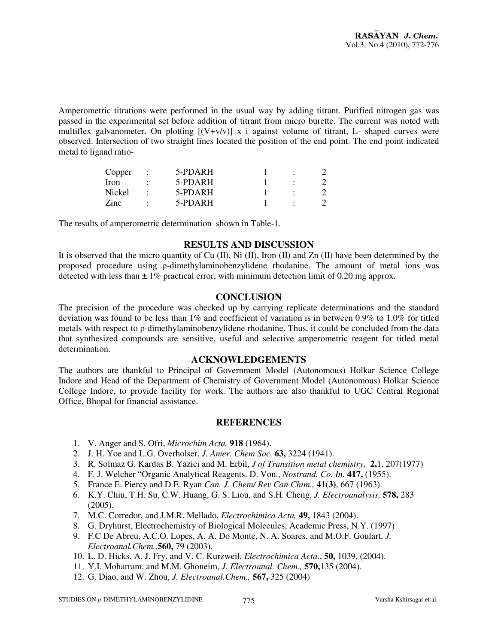Amperometric titrations were performed in the usual way by adding titrant. Purified nitrogen gas was passed in the experimental set before addition of titrant from micro burette. The current was noted with multiflex galvanometer. On plotting  $[(V+V)V]$  x i against volume of titrant, L- shaped curves were observed. Intersection of two straight lines located the position of the end point. The end point indicated metal to ligand ratio-

| Copper      | 5-PDARH   |  |  |
|-------------|-----------|--|--|
| <b>Iron</b> | 5-PDARH   |  |  |
| Nickel      | 5-PDARH   |  |  |
| <b>Zinc</b> | $5-PDARH$ |  |  |

The results of amperometric determination shown in Table-1.

#### **RESULTS AND DISCUSSION**

It is observed that the micro quantity of Cu  $(II)$ , Ni  $(II)$ , Iron  $(II)$  and Zn  $(II)$  have been determined by the proposed procedure using ρ-dimethylaminobenzylidene rhodanine. The amount of metal ions was detected with less than  $\pm 1\%$  practical error, with minimum detection limit of 0.20 mg approx.

#### **CONCLUSION**

The precision of the procedure was checked up by carrying replicate determinations and the standard deviation was found to be less than 1% and coefficient of variation is in between 0.9% to 1.0% for titled metals with respect to ρ-dimethylaminobenzylidene rhodanine. Thus, it could be concluded from the data that synthesized compounds are sensitive, useful and selective amperometric reagent for titled metal determination.

#### **ACKNOWLEDGEMENTS**

The authors are thankful to Principal of Government Model (Autonomous) Holkar Science College Indore and Head of the Department of Chemistry of Government Model (Autonomous) Holkar Science College Indore, to provide facility for work. The authors are also thankful to UGC Central Regional Office, Bhopal for financial assistance.

#### **REFERENCES**

- 1. V. Anger and S. Ofri, *Microchim Acta,* **918** (1964).
- 2. J. H. Yoe and L.G. Overholser, *J. Amer. Chem Soc.* **63,** 3224 (1941).
- 3. R. Solmaz G. Kardas B. Yazici and M. Erbil, *J of Transition metal chemistry.* **2,**1, 207(1977)
- 4. F. J. Welcher "Organic Analytical Reagents. D. Von., *Nostrand. Co. In.* **417,** (1955).
- 5. France E. Piercy and D.E. Ryan *Can. J. Chem/ Rev Can Chim.,* **41(3)**, 667 (1963).
- 6. K.Y. Chiu, T.H. Su, C.W. Huang, G. S. Liou, and S.H. Cheng, *J. Electroanalysis,* **578,** 283 (2005).
- 7. M.C. Corredor, and J.M.R. Mellado, *Electrochimica Acta,* **49,** 1843 (2004).
- 8. G. Dryhurst, Electrochemistry of Biological Molecules, Academic Press, N.Y. (1997)
- 9. F.C De Abreu, A.C.O. Lopes, A. A. Do Monte, N. A. Soares, and M.O.F. Goulart, *J. Electroanal.Chem.,***560,** 79 (2003).
- 10. L. D. Hicks, A. J. Fry, and V. C. Kurzweil, *Electrochimica Acta*., **50,** 1039, (2004).
- 11. Y.I. Moharram, and M.M. Ghoneim, *J. Electroanal. Chem.,* **570,**135 (2004).
- 12. G. Diao, and W. Zhou, *J. Electroanal.Chem.,* **567,** 325 (2004)